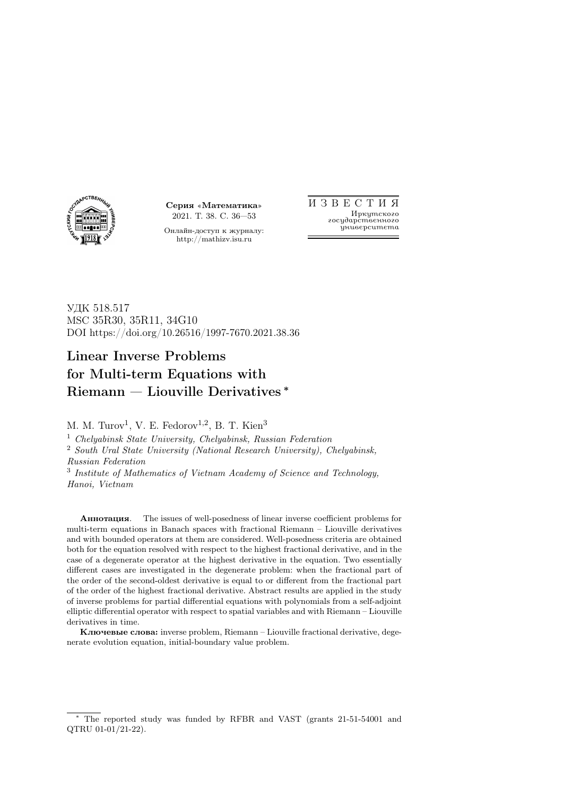

Серия «Математика» 2021. Т. 38. С. 36—53

Онлайн-доступ к журналу: http://mathizv.isu.ru

И З В Е С Т И Я Иркутского государственного университета

УДК 518.517 MSC 35R30, 35R11, 34G10 DOI https://doi.org/10.26516/1997-7670.2021.38.36

# Linear Inverse Problems for Multi-term Equations with Riemann — Liouville Derivatives <sup>∗</sup>

M. M. Turov<sup>1</sup>, V. E. Fedorov<sup>1,2</sup>, B. T. Kien<sup>3</sup>

<sup>1</sup> Chelyabinsk State University, Chelyabinsk, Russian Federation

<sup>2</sup> South Ural State University (National Research University), Chelyabinsk, Russian Federation

<sup>3</sup> Institute of Mathematics of Vietnam Academy of Science and Technology, Hanoi, Vietnam

Аннотация. The issues of well-posedness of linear inverse coefficient problems for multi-term equations in Banach spaces with fractional Riemann – Liouville derivatives and with bounded operators at them are considered. Well-posedness criteria are obtained both for the equation resolved with respect to the highest fractional derivative, and in the case of a degenerate operator at the highest derivative in the equation. Two essentially different cases are investigated in the degenerate problem: when the fractional part of the order of the second-oldest derivative is equal to or different from the fractional part of the order of the highest fractional derivative. Abstract results are applied in the study of inverse problems for partial differential equations with polynomials from a self-adjoint elliptic differential operator with respect to spatial variables and with Riemann – Liouville derivatives in time.

Ключевые слова: inverse problem, Riemann – Liouville fractional derivative, degenerate evolution equation, initial-boundary value problem.

The reported study was funded by RFBR and VAST (grants 21-51-54001 and QTRU 01-01/21-22).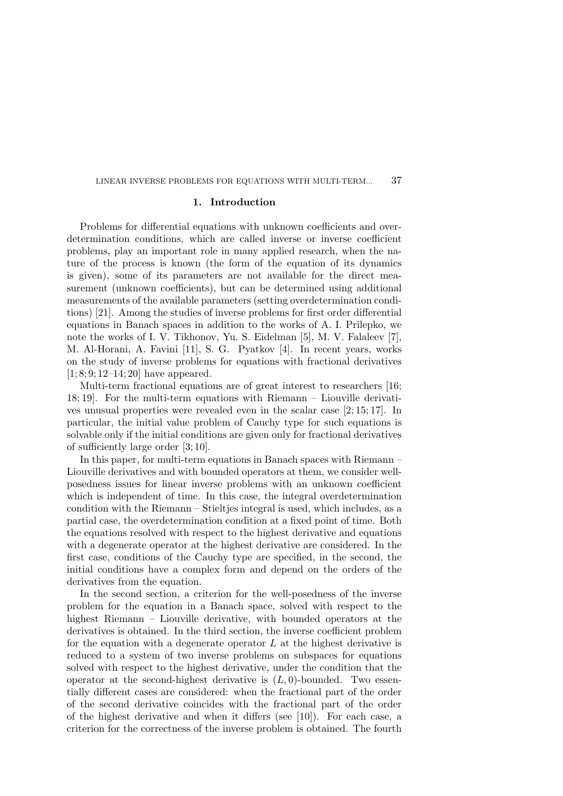# 1. Introduction

Problems for differential equations with unknown coefficients and overdetermination conditions, which are called inverse or inverse coefficient problems, play an important role in many applied research, when the nature of the process is known (the form of the equation of its dynamics is given), some of its parameters are not available for the direct measurement (unknown coefficients), but can be determined using additional measurements of the available parameters (setting overdetermination conditions) [21]. Among the studies of inverse problems for first order differential equations in Banach spaces in addition to the works of A. I. Prilepko, we note the works of I. V. Tikhonov, Yu. S. Eidelman [5], M. V. Falaleev [7], M. Al-Horani, A. Favini [11], S. G. Pyatkov [4]. In recent years, works on the study of inverse problems for equations with fractional derivatives  $[1; 8; 9; 12-14; 20]$  have appeared.

Multi-term fractional equations are of great interest to researchers [16; 18; 19]. For the multi-term equations with Riemann – Liouville derivatives unusual properties were revealed even in the scalar case [2; 15; 17]. In particular, the initial value problem of Cauchy type for such equations is solvable only if the initial conditions are given only for fractional derivatives of sufficiently large order [3; 10].

In this paper, for multi-term equations in Banach spaces with Riemann – Liouville derivatives and with bounded operators at them, we consider wellposedness issues for linear inverse problems with an unknown coefficient which is independent of time. In this case, the integral overdetermination condition with the Riemann – Stieltjes integral is used, which includes, as a partial case, the overdetermination condition at a fixed point of time. Both the equations resolved with respect to the highest derivative and equations with a degenerate operator at the highest derivative are considered. In the first case, conditions of the Cauchy type are specified, in the second, the initial conditions have a complex form and depend on the orders of the derivatives from the equation.

In the second section, a criterion for the well-posedness of the inverse problem for the equation in a Banach space, solved with respect to the highest Riemann – Liouville derivative, with bounded operators at the derivatives is obtained. In the third section, the inverse coefficient problem for the equation with a degenerate operator  $L$  at the highest derivative is reduced to a system of two inverse problems on subspaces for equations solved with respect to the highest derivative, under the condition that the operator at the second-highest derivative is  $(L, 0)$ -bounded. Two essentially different cases are considered: when the fractional part of the order of the second derivative coincides with the fractional part of the order of the highest derivative and when it differs (see [10]). For each case, a criterion for the correctness of the inverse problem is obtained. The fourth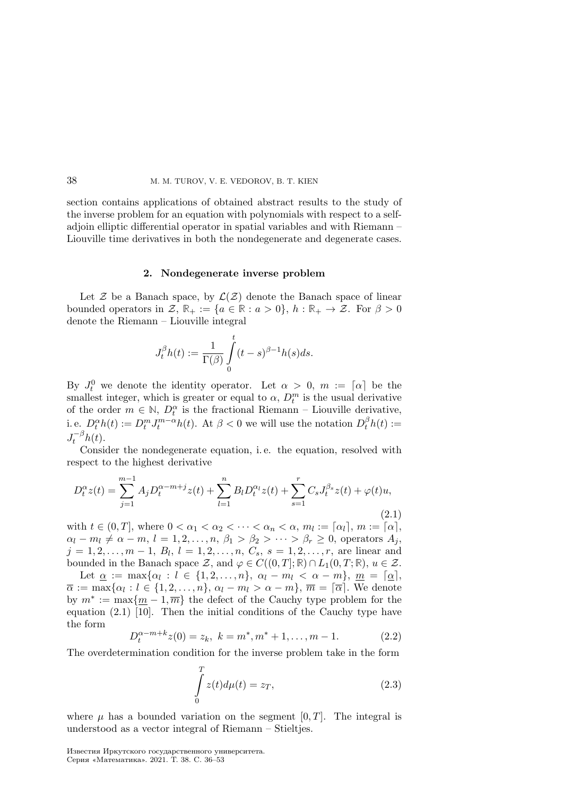section contains applications of obtained abstract results to the study of the inverse problem for an equation with polynomials with respect to a selfadjoin elliptic differential operator in spatial variables and with Riemann – Liouville time derivatives in both the nondegenerate and degenerate cases.

#### 2. Nondegenerate inverse problem

Let  $\mathcal Z$  be a Banach space, by  $\mathcal L(\mathcal Z)$  denote the Banach space of linear bounded operators in  $\mathcal{Z}, \mathbb{R}_+ := \{a \in \mathbb{R} : a > 0\}, h : \mathbb{R}_+ \to \mathcal{Z}.$  For  $\beta > 0$ denote the Riemann – Liouville integral

$$
J_t^{\beta}h(t):=\frac{1}{\Gamma(\beta)}\int\limits_0^t(t-s)^{\beta-1}h(s)ds.
$$

By  $J_t^0$  we denote the identity operator. Let  $\alpha > 0$ ,  $m := [\alpha]$  be the smallest integer, which is greater or equal to  $\alpha$ ,  $D_t^m$  is the usual derivative of the order  $m \in \mathbb{N}$ ,  $D_t^{\alpha}$  is the fractional Riemann – Liouville derivative, i. e.  $D_t^{\alpha}h(t) := D_t^m J_t^{m-\alpha}h(t)$ . At  $\beta < 0$  we will use the notation  $D_t^{\beta}h(t) :=$  $J_t^{-\beta}h(t)$ .

Consider the nondegenerate equation, i. e. the equation, resolved with respect to the highest derivative

$$
D_t^{\alpha} z(t) = \sum_{j=1}^{m-1} A_j D_t^{\alpha - m + j} z(t) + \sum_{l=1}^n B_l D_t^{\alpha_l} z(t) + \sum_{s=1}^r C_s J_t^{\beta_s} z(t) + \varphi(t) u,
$$
\n(2.1)

with  $t \in (0, T]$ , where  $0 < \alpha_1 < \alpha_2 < \cdots < \alpha_n < \alpha$ ,  $m_l := \lceil \alpha_l \rceil$ ,  $m := \lceil \alpha \rceil$ ,  $\alpha_l - m_l \neq \alpha - m, l = 1, 2, \ldots, n, \beta_1 > \beta_2 > \cdots > \beta_r \geq 0$ , operators  $A_j$ ,  $j = 1, 2, \ldots, m - 1, B_l, l = 1, 2, \ldots, n, C_s, s = 1, 2, \ldots, r$ , are linear and bounded in the Banach space  $\mathcal{Z}$ , and  $\varphi \in C((0,T];\mathbb{R}) \cap L_1(0,T;\mathbb{R}), u \in \mathcal{Z}$ .

Let  $\underline{\alpha} := \max\{\alpha_l : l \in \{1, 2, \ldots, n\}, \alpha_l - m_l < \alpha - m\}, \underline{m} = [\underline{\alpha}],$  $\overline{\alpha} := \max\{\alpha_l : l \in \{1, 2, \ldots, n\}, \, \alpha_l - m_l > \alpha - m\}, \, \overline{m} = \lceil \overline{\alpha} \rceil.$  We denote by  $m^* := \max\{m-1,\overline{m}\}\$ the defect of the Cauchy type problem for the equation (2.1) [10]. Then the initial conditions of the Cauchy type have the form

$$
D_t^{\alpha-m+k}z(0) = z_k, \ k = m^*, m^* + 1, \dots, m - 1.
$$
 (2.2)

The overdetermination condition for the inverse problem take in the form

$$
\int_{0}^{T} z(t)d\mu(t) = z_T,
$$
\n(2.3)

where  $\mu$  has a bounded variation on the segment  $[0, T]$ . The integral is understood as a vector integral of Riemann – Stieltjes.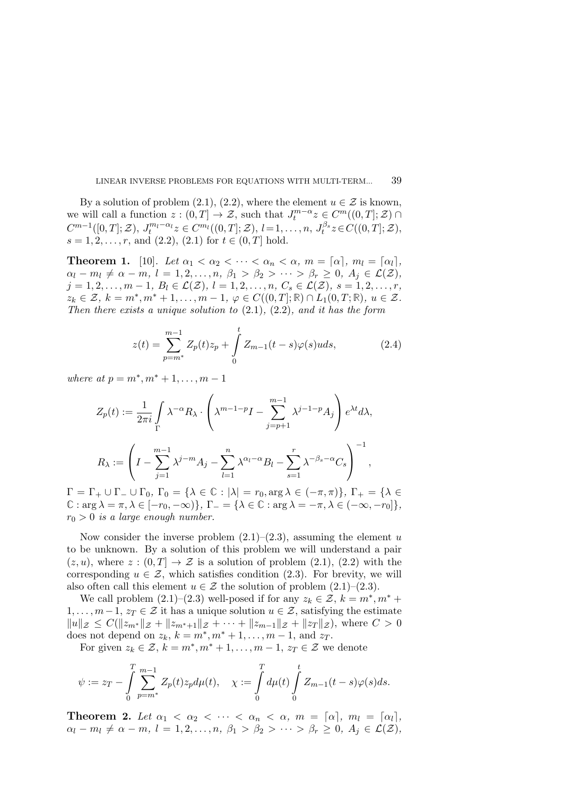By a solution of problem (2.1), (2.2), where the element  $u \in \mathcal{Z}$  is known, we will call a function  $z : (0,T] \to \mathcal{Z}$ , such that  $J_t^{m-\alpha}z \in C^m((0,T]; \mathcal{Z})$  $C^{m-1}([0,T];\mathcal{Z}), J_t^{m_l-\alpha_l}z \in C^{m_l}((0,T];\mathcal{Z}), l=1,\ldots,n, J_t^{\beta_s}z \in C((0,T];\mathcal{Z}),$  $s = 1, 2, \ldots, r$ , and  $(2.2), (2.1)$  for  $t \in (0, T]$  hold.

**Theorem 1.** [10]. Let  $\alpha_1 < \alpha_2 < \cdots < \alpha_n < \alpha$ ,  $m = [\alpha]$ ,  $m_l = [\alpha_l]$ ,  $\alpha_l - m_l \neq \alpha - m, l = 1, 2, \ldots, n, \beta_1 > \beta_2 > \cdots > \beta_r \geq 0, A_j \in \mathcal{L}(\mathcal{Z}),$  $j = 1, 2, \ldots, m - 1, B_l \in \mathcal{L}(\mathcal{Z}), l = 1, 2, \ldots, n, C_s \in \mathcal{L}(\mathcal{Z}), s = 1, 2, \ldots, r,$  $z_k \in \mathcal{Z}, k = m^*, m^* + 1, \ldots, m - 1, \varphi \in C((0, T]; \mathbb{R}) \cap L_1(0, T; \mathbb{R}), u \in \mathcal{Z}.$ Then there exists a unique solution to  $(2.1)$ ,  $(2.2)$ , and it has the form

$$
z(t) = \sum_{p=m^*}^{m-1} Z_p(t)z_p + \int_0^t Z_{m-1}(t-s)\varphi(s)u ds, \qquad (2.4)
$$

where at  $p = m^*, m^* + 1, \ldots, m - 1$ 

$$
Z_p(t) := \frac{1}{2\pi i} \int_{\Gamma} \lambda^{-\alpha} R_{\lambda} \cdot \left( \lambda^{m-1-p} I - \sum_{j=p+1}^{m-1} \lambda^{j-1-p} A_j \right) e^{\lambda t} d\lambda,
$$
  

$$
R_{\lambda} := \left( I - \sum_{j=1}^{m-1} \lambda^{j-m} A_j - \sum_{l=1}^n \lambda^{\alpha_l - \alpha} B_l - \sum_{s=1}^r \lambda^{-\beta_s - \alpha} C_s \right)^{-1},
$$

 $\Gamma = \Gamma_+ \cup \Gamma_- \cup \Gamma_0$ ,  $\Gamma_0 = \{ \lambda \in \mathbb{C} : |\lambda| = r_0, \arg \lambda \in (-\pi, \pi) \}, \Gamma_+ = \{ \lambda \in \mathbb{C} \}$  $\mathbb{C}: \arg \lambda = \pi, \lambda \in [-r_0, -\infty) \}, \Gamma = \{ \lambda \in \mathbb{C} : \arg \lambda = -\pi, \lambda \in (-\infty, -r_0] \},$  $r_0 > 0$  is a large enough number.

Now consider the inverse problem  $(2.1)$ – $(2.3)$ , assuming the element u to be unknown. By a solution of this problem we will understand a pair  $(z, u)$ , where  $z : (0, T] \rightarrow \mathcal{Z}$  is a solution of problem  $(2.1)$ ,  $(2.2)$  with the corresponding  $u \in \mathcal{Z}$ , which satisfies condition (2.3). For brevity, we will also often call this element  $u \in \mathcal{Z}$  the solution of problem  $(2.1)$ – $(2.3)$ .

We call problem  $(2.1)$ – $(2.3)$  well-posed if for any  $z_k \in \mathcal{Z}, k = m^*, m^*$  +  $1, \ldots, m-1, z_T \in \mathcal{Z}$  it has a unique solution  $u \in \mathcal{Z}$ , satisfying the estimate  $||u||_{\mathcal{Z}} \leq C(||z_{m^*}||_{\mathcal{Z}} + ||z_{m^*+1}||_{\mathcal{Z}} + \cdots + ||z_{m-1}||_{\mathcal{Z}} + ||z_T||_{\mathcal{Z}}),$  where  $C > 0$ does not depend on  $z_k$ ,  $k = m^*$ ,  $m^* + 1, \ldots, m - 1$ , and  $z_T$ .

For given  $z_k \in \mathcal{Z}, k = m^*, m^* + 1, \ldots, m - 1, z_T \in \mathcal{Z}$  we denote

$$
\psi:=z_T-\int\limits_0^T\sum\limits_{p=m^*}^{m-1}Z_p(t)z_p d\mu(t),\quad \chi:=\int\limits_0^Td\mu(t)\int\limits_0^tZ_{m-1}(t-s)\varphi(s)ds.
$$

**Theorem 2.** Let  $\alpha_1 < \alpha_2 < \cdots < \alpha_n < \alpha$ ,  $m = [\alpha]$ ,  $m_l = [\alpha_l]$ ,  $\alpha_l - m_l \neq \alpha - m, l = 1, 2, \ldots, n, \beta_1 > \beta_2 > \cdots > \beta_r \geq 0, A_j \in \mathcal{L}(\mathcal{Z}),$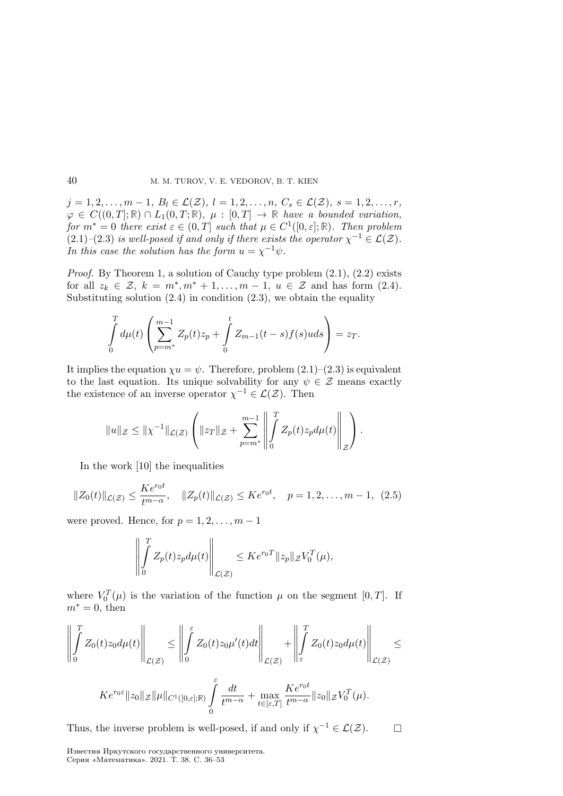$j = 1, 2, \ldots, m - 1, B_l \in \mathcal{L}(\mathcal{Z}), l = 1, 2, \ldots, n, C_s \in \mathcal{L}(\mathcal{Z}), s = 1, 2, \ldots, r,$  $\varphi \in C((0,T]; \mathbb{R}) \cap L_1(0,T; \mathbb{R}), \mu : [0,T] \to \mathbb{R}$  have a bounded variation, for  $m^* = 0$  there exist  $\varepsilon \in (0, T]$  such that  $\mu \in C^1([0, \varepsilon]; \mathbb{R})$ . Then problem  $(2.1)$ – $(2.3)$  is well-posed if and only if there exists the operator  $\chi^{-1} \in \mathcal{L}(\mathcal{Z})$ . In this case the solution has the form  $u = \chi^{-1}\psi$ .

*Proof.* By Theorem 1, a solution of Cauchy type problem  $(2.1)$ ,  $(2.2)$  exists for all  $z_k \in \mathcal{Z}, k = m^*, m^* + 1, \ldots, m - 1, u \in \mathcal{Z}$  and has form (2.4). Substituting solution  $(2.4)$  in condition  $(2.3)$ , we obtain the equality

$$
\int_{0}^{T} d\mu(t) \left( \sum_{p=m^{*}}^{m-1} Z_{p}(t) z_{p} + \int_{0}^{t} Z_{m-1}(t-s) f(s) u ds \right) = z_{T}.
$$

It implies the equation  $\chi u = \psi$ . Therefore, problem (2.1)–(2.3) is equivalent to the last equation. Its unique solvability for any  $\psi \in \mathcal{Z}$  means exactly the existence of an inverse operator  $\chi^{-1} \in \mathcal{L}(\mathcal{Z})$ . Then

$$
||u||_{\mathcal{Z}} \leq ||\chi^{-1}||_{\mathcal{L}(\mathcal{Z})} \left( ||z_T||_{\mathcal{Z}} + \sum_{p=m^*}^{m-1} \left\| \int_0^T Z_p(t) z_p d\mu(t) \right\|_{\mathcal{Z}} \right).
$$

In the work [10] the inequalities

$$
||Z_0(t)||_{\mathcal{L}(\mathcal{Z})} \le \frac{Ke^{r_0 t}}{t^{m-\alpha}}, \quad ||Z_p(t)||_{\mathcal{L}(\mathcal{Z})} \le Ke^{r_0 t}, \quad p = 1, 2, \dots, m-1, \tag{2.5}
$$

were proved. Hence, for  $p = 1, 2, \ldots, m - 1$ 

$$
\left\| \int_{0}^{T} Z_{p}(t) z_{p} d\mu(t) \right\|_{\mathcal{L}(\mathcal{Z})} \leq K e^{r_{0}T} \|z_{p}\|_{\mathcal{Z}} V_{0}^{T}(\mu),
$$

where  $V_0^T(\mu)$  is the variation of the function  $\mu$  on the segment [0, T]. If  $m^* = 0$ , then

$$
\left\| \int_{0}^{T} Z_{0}(t) z_{0} d\mu(t) \right\|_{\mathcal{L}(\mathcal{Z})} \leq \left\| \int_{0}^{\varepsilon} Z_{0}(t) z_{0} \mu'(t) dt \right\|_{\mathcal{L}(\mathcal{Z})} + \left\| \int_{\varepsilon}^{T} Z_{0}(t) z_{0} d\mu(t) \right\|_{\mathcal{L}(\mathcal{Z})} \leq
$$
  

$$
K e^{r_{0}\varepsilon} \|z_{0}\|_{\mathcal{Z}} \|\mu\|_{C^{1}([0,\varepsilon];\mathbb{R})} \int_{0}^{\varepsilon} \frac{dt}{t^{m-\alpha}} + \max_{t \in [\varepsilon,T]} \frac{K e^{r_{0}t}}{t^{m-\alpha}} \|z_{0}\|_{\mathcal{Z}} V_{0}^{T}(\mu).
$$

Thus, the inverse problem is well-posed, if and only if  $\chi^{-1} \in \mathcal{L}(\mathcal{Z})$ .

0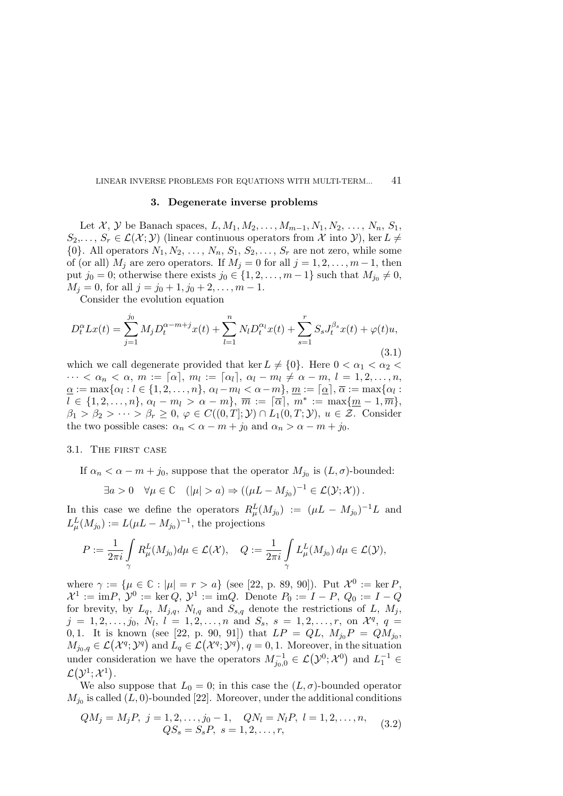#### 3. Degenerate inverse problems

Let X, Y be Banach spaces,  $L, M_1, M_2, \ldots, M_{m-1}, N_1, N_2, \ldots, N_n, S_1$ ,  $S_2,\ldots, S_r \in \mathcal{L}(\mathcal{X};\mathcal{Y})$  (linear continuous operators from X into Y), ker  $L \neq$  $\{0\}$ . All operators  $N_1, N_2, \ldots, N_n, S_1, S_2, \ldots, S_r$  are not zero, while some of (or all)  $M_j$  are zero operators. If  $M_j = 0$  for all  $j = 1, 2, \ldots, m-1$ , then put  $j_0 = 0$ ; otherwise there exists  $j_0 \in \{1, 2, \ldots, m-1\}$  such that  $M_{j_0} \neq 0$ ,  $M_j = 0$ , for all  $j = j_0 + 1, j_0 + 2, \ldots, m - 1$ .

Consider the evolution equation

$$
D_t^{\alpha} L x(t) = \sum_{j=1}^{j_0} M_j D_t^{\alpha - m + j} x(t) + \sum_{l=1}^n N_l D_t^{\alpha_l} x(t) + \sum_{s=1}^r S_s J_t^{\beta_s} x(t) + \varphi(t) u,
$$
\n(3.1)

which we call degenerate provided that ker  $L \neq \{0\}$ . Here  $0 < \alpha_1 < \alpha_2 <$  $\cdots < \alpha_n < \alpha, m := [\alpha], m_l := [\alpha_l], \alpha_l - m_l \neq \alpha - m, l = 1, 2, \ldots, n,$  $\underline{\alpha}:=\max\{\alpha_l: l\in\{1,2,\ldots,n\},\, \alpha_l-m_l<\alpha-m\},\, \underline{m}:=\lceil \underline{\alpha}\rceil,\, \overline{\alpha}:=\max\{\alpha_l:$  $l \in \{1, 2, \ldots, n\}, \, \alpha_l - m_l > \alpha - m\}, \, \overline{m} := \lceil \overline{\alpha} \rceil, \, m^* := \max\{\underline{m} - 1, \overline{m}\},$  $\beta_1 > \beta_2 > \cdots > \beta_r \geq 0, \varphi \in C((0,T];\mathcal{Y}) \cap L_1(0,T;\mathcal{Y}), u \in \mathcal{Z}$ . Consider the two possible cases:  $\alpha_n < \alpha - m + j_0$  and  $\alpha_n > \alpha - m + j_0$ .

#### 3.1. The first case

If  $\alpha_n < \alpha - m + j_0$ , suppose that the operator  $M_{j_0}$  is  $(L, \sigma)$ -bounded:

$$
\exists a > 0 \quad \forall \mu \in \mathbb{C} \quad (|\mu| > a) \Rightarrow ((\mu L - M_{j_0})^{-1} \in \mathcal{L}(\mathcal{Y}; \mathcal{X})).
$$

In this case we define the operators  $R_{\mu}^{L}(M_{j_0}) := (\mu L - M_{j_0})^{-1}L$  and  $L^L_\mu(M_{j_0}) := L(\mu L - M_{j_0})^{-1}$ , the projections

$$
P := \frac{1}{2\pi i} \int\limits_{\gamma} R^L_{\mu}(M_{j_0}) d\mu \in \mathcal{L}(\mathcal{X}), \quad Q := \frac{1}{2\pi i} \int\limits_{\gamma} L^L_{\mu}(M_{j_0}) d\mu \in \mathcal{L}(\mathcal{Y}),
$$

where  $\gamma := {\mu \in \mathbb{C} : |\mu| = r > a}$  (see [22, p. 89, 90]). Put  $\mathcal{X}^0 := \ker P$ ,  $\mathcal{X}^1 := \text{im} P, \ \mathcal{Y}^0 := \text{ker} Q, \ \mathcal{Y}^1 := \text{im} Q. \ \text{Denote } P_0 := I - P, \ Q_0 := I - Q$ for brevity, by  $L_q$ ,  $M_{j,q}$ ,  $N_{l,q}$  and  $S_{s,q}$  denote the restrictions of L,  $M_j$ ,  $j = 1, 2, \ldots, j_0, N_l, l = 1, 2, \ldots, n$  and  $S_s, s = 1, 2, \ldots, r$ , on  $\mathcal{X}^q, q =$ 0, 1. It is known (see [22, p. 90, 91]) that  $LP = QL$ ,  $M_{j_0}P = QM_{j_0}$ ,  $M_{j_0,q} \in \mathcal{L}(\mathcal{X}^q; \mathcal{Y}^q)$  and  $L_q \in \mathcal{L}(\mathcal{X}^q; \mathcal{Y}^q)$ ,  $q = 0, 1$ . Moreover, in the situation under consideration we have the operators  $M_{j_0,0}^{-1} \in \mathcal{L}(\mathcal{Y}^0;\mathcal{X}^0)$  and  $L_1^{-1} \in$  $\mathcal{L}(\mathcal{Y}^1;\mathcal{X}^1).$ 

We also suppose that  $L_0 = 0$ ; in this case the  $(L, \sigma)$ -bounded operator  $M_{j_0}$  is called  $(L, 0)$ -bounded [22]. Moreover, under the additional conditions

$$
QM_j = M_j P, \ j = 1, 2, \dots, j_0 - 1, \quad QN_l = N_l P, \ l = 1, 2, \dots, n,
$$
  

$$
QS_s = S_s P, \ s = 1, 2, \dots, r,
$$
 (3.2)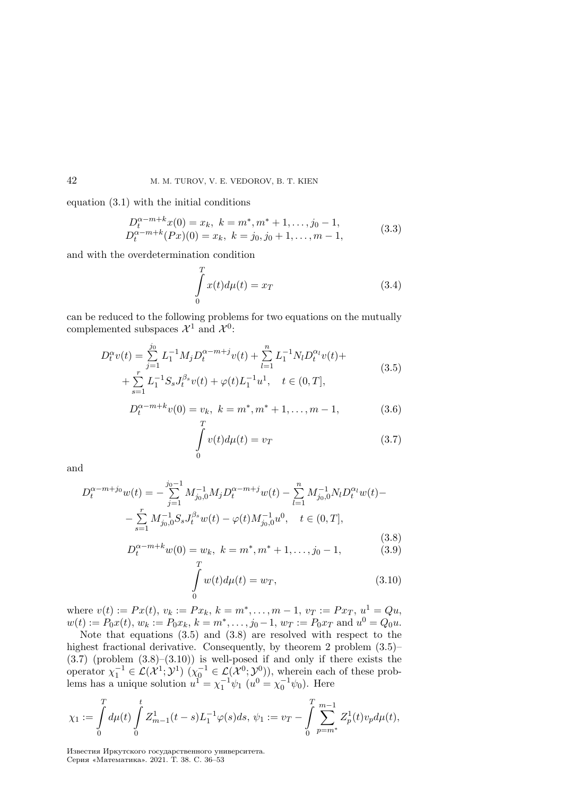equation (3.1) with the initial conditions

$$
D_t^{\alpha-m+k}x(0) = x_k, \ k = m^*, m^* + 1, \dots, j_0 - 1,\nD_t^{\alpha-m+k}(Px)(0) = x_k, \ k = j_0, j_0 + 1, \dots, m - 1,
$$
\n(3.3)

and with the overdetermination condition

$$
\int_{0}^{T} x(t) d\mu(t) = x_T \tag{3.4}
$$

can be reduced to the following problems for two equations on the mutually complemented subspaces  $\mathcal{X}^1$  and  $\mathcal{X}^0$ :

$$
D_t^{\alpha} v(t) = \sum_{j=1}^{j_0} L_1^{-1} M_j D_t^{\alpha - m + j} v(t) + \sum_{l=1}^n L_1^{-1} N_l D_t^{\alpha_l} v(t) + + \sum_{s=1}^r L_1^{-1} S_s J_t^{\beta_s} v(t) + \varphi(t) L_1^{-1} u^1, \quad t \in (0, T],
$$
\n(3.5)

$$
D_t^{\alpha-m+k}v(0) = v_k, \ k = m^*, m^* + 1, \dots, m - 1,
$$
 (3.6)

$$
\int_{0}^{T} v(t)d\mu(t) = v_T \tag{3.7}
$$

and

$$
D_t^{\alpha-m+j_0}w(t) = -\sum_{j=1}^{j_0-1} M_{j_0,0}^{-1} M_j D_t^{\alpha-m+j} w(t) - \sum_{l=1}^n M_{j_0,0}^{-1} N_l D_t^{\alpha_l} w(t) -
$$

$$
-\sum_{s=1}^r M_{j_0,0}^{-1} S_s J_t^{\beta_s} w(t) - \varphi(t) M_{j_0,0}^{-1} u^0, \quad t \in (0,T],
$$

$$
(3.8)
$$

$$
D_t^{\alpha-m+k}w(0) = w_k, \ k = m^*, m^* + 1, \dots, j_0 - 1,
$$
 (3.9)

$$
\int_{0}^{1} w(t)d\mu(t) = w_T,
$$
\n(3.10)

where  $v(t) := Px(t), v_k := Px_k, k = m^*, \ldots, m-1, v_T := Px_T, u^1 = Qu$ ,  $w(t) := P_0x(t), w_k := P_0x_k, k = m^*, \dots, j_0 - 1, w_T := P_0x_T \text{ and } u^0 = Q_0u.$ 

Note that equations (3.5) and (3.8) are resolved with respect to the highest fractional derivative. Consequently, by theorem 2 problem  $(3.5)$ - $(3.7)$  (problem  $(3.8)$ – $(3.10)$ ) is well-posed if and only if there exists the operator  $\chi_1^{-1} \in \mathcal{L}(\mathcal{X}^1; \mathcal{Y}^1)$   $(\chi_0^{-1} \in \mathcal{L}(\mathcal{X}^0; \mathcal{Y}^0))$ , wherein each of these problems has a unique solution  $u^1 = \chi_1^{-1} \psi_1$   $(u^0 = \chi_0^{-1} \psi_0)$ . Here

$$
\chi_1:=\int\limits_0^T d\mu(t)\int\limits_0^t Z^1_{m-1}(t-s)L_1^{-1}\varphi(s)ds,\, \psi_1:=v_T-\int\limits_0^T \sum\limits_{p=m^*}^{m-1}Z^1_p(t)v_p d\mu(t),
$$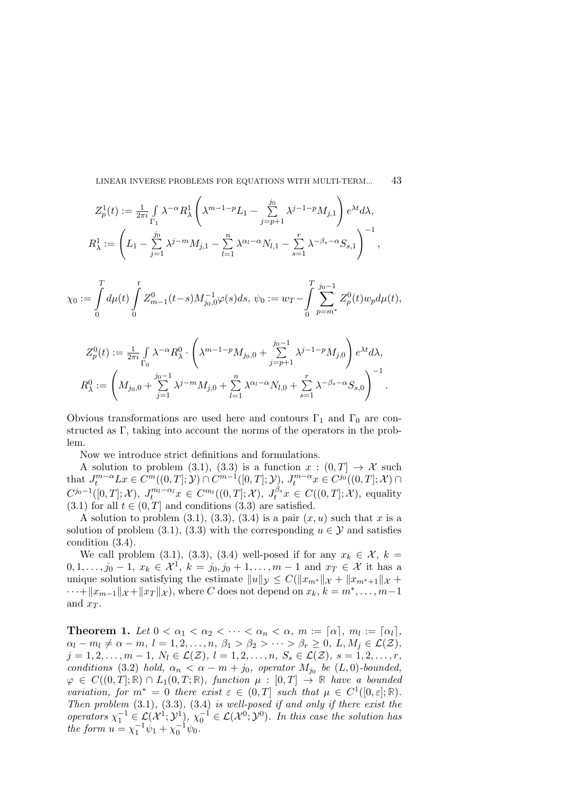$$
Z_p^1(t) := \frac{1}{2\pi i} \int_{\Gamma_1} \lambda^{-\alpha} R_\lambda^1 \left( \lambda^{m-1-p} L_1 - \sum_{j=p+1}^{j_0} \lambda^{j-1-p} M_{j,1} \right) e^{\lambda t} d\lambda,
$$
  

$$
R_\lambda^1 := \left( L_1 - \sum_{j=1}^{j_0} \lambda^{j-m} M_{j,1} - \sum_{l=1}^n \lambda^{\alpha_l - \alpha} N_{l,1} - \sum_{s=1}^r \lambda^{-\beta_s - \alpha} S_{s,1} \right)^{-1},
$$

$$
\chi_0:=\int\limits_0^T d\mu(t)\int\limits_0^t Z^0_{m-1}(t-s)M^{-1}_{j_0,0}\varphi(s)ds,\,\psi_0:=w_T-\int\limits_0^T\sum\limits_{p=m^*}^{j_0-1}Z^0_p(t)w_p d\mu(t),
$$

$$
Z_p^0(t) := \frac{1}{2\pi i} \int_{\Gamma_0} \lambda^{-\alpha} R_\lambda^0 \cdot \left( \lambda^{m-1-p} M_{j_0,0} + \sum_{j=p+1}^{j_0-1} \lambda^{j-1-p} M_{j,0} \right) e^{\lambda t} d\lambda,
$$
  

$$
R_\lambda^0 := \left( M_{j_0,0} + \sum_{j=1}^{j_0-1} \lambda^{j-m} M_{j,0} + \sum_{l=1}^n \lambda^{\alpha_l-\alpha} N_{l,0} + \sum_{s=1}^r \lambda^{-\beta_s-\alpha} S_{s,0} \right)^{-1}.
$$

Obvious transformations are used here and contours  $\Gamma_1$  and  $\Gamma_0$  are constructed as Γ, taking into account the norms of the operators in the problem.

Now we introduce strict definitions and formulations.

A solution to problem (3.1), (3.3) is a function  $x : (0, T] \rightarrow \mathcal{X}$  such that  $J_t^{m-\alpha} L x \in C^m((0,T]; \mathcal{Y}) \cap C^{m-1}([0,T]; \mathcal{Y}), J_t^{m-\alpha} x \in C^{j_0}((0,T]; \mathcal{X}) \cap$  $C^{j_0-1}([0,T];\mathcal{X}),\ J_t^{m_l-\alpha_l}x\in C^{m_l}((0,T];\mathcal{X}),\ J_t^{\beta_s}x\in C((0,T];\mathcal{X}),\ \text{equality}$  $(3.1)$  for all  $t \in (0, T]$  and conditions  $(3.3)$  are satisfied.

A solution to problem  $(3.1), (3.3), (3.4)$  is a pair  $(x, u)$  such that x is a solution of problem (3.1), (3.3) with the corresponding  $u \in \mathcal{Y}$  and satisfies condition (3.4).

We call problem (3.1), (3.3), (3.4) well-posed if for any  $x_k \in \mathcal{X}$ ,  $k =$  $0, 1, \ldots, j_0 - 1, x_k \in \mathcal{X}^1, k = j_0, j_0 + 1, \ldots, m - 1$  and  $x_T \in \mathcal{X}$  it has a unique solution satisfying the estimate  $||u||_{\mathcal{Y}} \leq C(||x_{m^*}||_{\mathcal{X}} + ||x_{m^*+1}||_{\mathcal{X}} +$  $\cdots + ||x_{m-1}||_{\mathcal{X}} + ||x_T||_{\mathcal{X}}$ , where C does not depend on  $x_k, k = m^*, \ldots, m-1$ and  $x_T$ .

**Theorem 1.** Let  $0 < \alpha_1 < \alpha_2 < \cdots < \alpha_n < \alpha$ ,  $m := [\alpha], m_l := [\alpha_l],$  $\alpha_l - m_l \neq \alpha - m, l = 1, 2, \ldots, n, \beta_1 > \beta_2 > \cdots > \beta_r \geq 0, L, M_j \in \mathcal{L}(\mathcal{Z}),$  $j = 1, 2, \ldots, m - 1, N_l \in \mathcal{L}(\mathcal{Z}), l = 1, 2, \ldots, n, S_s \in \mathcal{L}(\mathcal{Z}), s = 1, 2, \ldots, r,$ conditions (3.2) hold,  $\alpha_n < \alpha - m + j_0$ , operator  $M_{j_0}$  be  $(L, 0)$ -bounded,  $\varphi \in C((0,T]; \mathbb{R}) \cap L_1(0,T; \mathbb{R})$ , function  $\mu : [0,T] \to \mathbb{R}$  have a bounded variation, for  $m^* = 0$  there exist  $\varepsilon \in (0,T]$  such that  $\mu \in C^1([0,\varepsilon];\mathbb{R})$ . Then problem  $(3.1)$ ,  $(3.3)$ ,  $(3.4)$  is well-posed if and only if there exist the operators  $\chi_1^{-1} \in \mathcal{L}(\mathcal{X}^1; \mathcal{Y}^1), \chi_0^{-1} \in \mathcal{L}(\mathcal{X}^0; \mathcal{Y}^0)$ . In this case the solution has the form  $u = \chi_1^{-1}\psi_1 + \chi_0^{-1}\psi_0$ .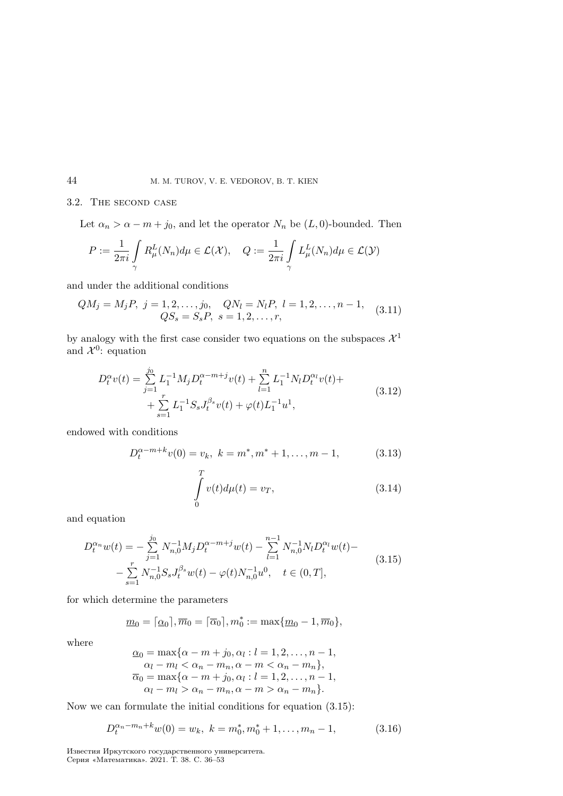# 3.2. The second case

Let  $\alpha_n > \alpha - m + j_0$ , and let the operator  $N_n$  be  $(L, 0)$ -bounded. Then

$$
P := \frac{1}{2\pi i} \int_{\gamma} R_{\mu}^{L}(N_{n}) d\mu \in \mathcal{L}(\mathcal{X}), \quad Q := \frac{1}{2\pi i} \int_{\gamma} L_{\mu}^{L}(N_{n}) d\mu \in \mathcal{L}(\mathcal{Y})
$$

and under the additional conditions

$$
QM_j = M_j P, \ j = 1, 2, \dots, j_0, \quad QN_l = N_l P, \ l = 1, 2, \dots, n - 1, \quad (3.11)
$$

$$
QS_s = S_s P, \ s = 1, 2, \dots, r,
$$

by analogy with the first case consider two equations on the subspaces  $\mathcal{X}^1$ and  $\mathcal{X}^0$ : equation

$$
D_t^{\alpha}v(t) = \sum_{j=1}^{j_0} L_1^{-1}M_j D_t^{\alpha - m + j}v(t) + \sum_{l=1}^n L_1^{-1}N_l D_t^{\alpha_l}v(t) + + \sum_{s=1}^r L_1^{-1}S_s J_t^{\beta_s}v(t) + \varphi(t)L_1^{-1}u^1,
$$
\n(3.12)

endowed with conditions

$$
D_t^{\alpha-m+k}v(0) = v_k, \ k = m^*, m^* + 1, \dots, m - 1,
$$
 (3.13)

$$
\int_{0}^{T} v(t)d\mu(t) = v_T,
$$
\n(3.14)

and equation

$$
D_t^{\alpha_n} w(t) = -\sum_{j=1}^{j_0} N_{n,0}^{-1} M_j D_t^{\alpha - m + j} w(t) - \sum_{l=1}^{n-1} N_{n,0}^{-1} N_l D_t^{\alpha_l} w(t) -
$$
  

$$
-\sum_{s=1}^r N_{n,0}^{-1} S_s J_t^{\beta_s} w(t) - \varphi(t) N_{n,0}^{-1} u^0, \quad t \in (0, T],
$$
 (3.15)

for which determine the parameters

$$
\underline{m}_0 = \lceil \underline{\alpha}_0 \rceil, \overline{m}_0 = \lceil \overline{\alpha}_0 \rceil, m_0^* := \max\{\underline{m}_0 - 1, \overline{m}_0\},\
$$

where

$$
\underline{\alpha}_0 = \max\{\alpha - m + j_0, \alpha_l : l = 1, 2, \dots, n - 1, \alpha_l - m_l < \alpha_n - m_n, \alpha - m < \alpha_n - m_n\}, \overline{\alpha}_0 = \max\{\alpha - m + j_0, \alpha_l : l = 1, 2, \dots, n - 1, \alpha_l - m_l > \alpha_n - m_n, \alpha - m > \alpha_n - m_n\}.
$$

Now we can formulate the initial conditions for equation (3.15):

$$
D_t^{\alpha_n - m_n + k} w(0) = w_k, \ k = m_0^*, m_0^* + 1, \dots, m_n - 1,
$$
 (3.16)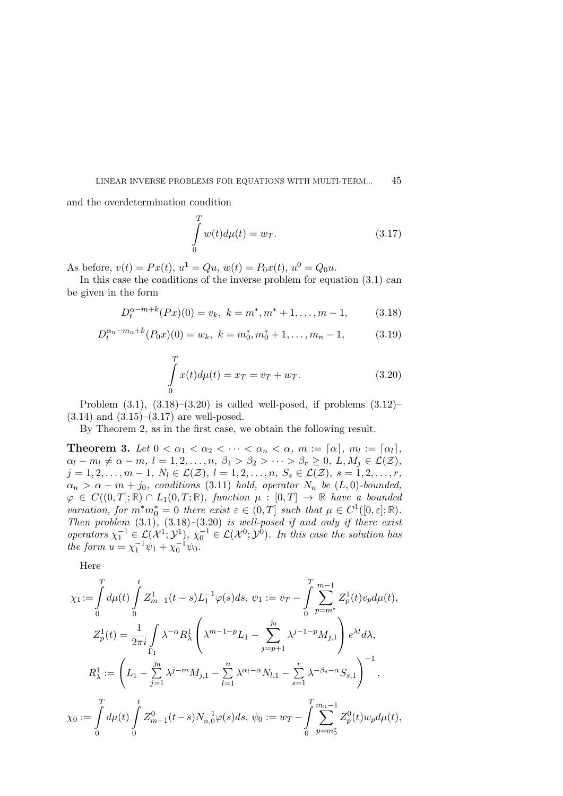and the overdetermination condition

$$
\int_{0}^{T} w(t)d\mu(t) = w_T.
$$
\n(3.17)

As before,  $v(t) = Px(t)$ ,  $u^1 = Qu$ ,  $w(t) = P_0x(t)$ ,  $u^0 = Q_0u$ .

In this case the conditions of the inverse problem for equation  $(3.1)$  can be given in the form

$$
D_t^{\alpha-m+k}(Px)(0) = v_k, \ k = m^*, m^* + 1, \dots, m - 1,
$$
 (3.18)

$$
D_t^{\alpha_n - m_n + k}(P_0 x)(0) = w_k, \ k = m_0^*, m_0^* + 1, \dots, m_n - 1,
$$
 (3.19)

$$
\int_{0}^{T} x(t) d\mu(t) = x_T = v_T + w_T.
$$
\n(3.20)

Problem  $(3.1)$ ,  $(3.18)$ – $(3.20)$  is called well-posed, if problems  $(3.12)$ –  $(3.14)$  and  $(3.15)$ – $(3.17)$  are well-posed.

By Theorem 2, as in the first case, we obtain the following result.

**Theorem 3.** Let  $0 < \alpha_1 < \alpha_2 < \cdots < \alpha_n < \alpha$ ,  $m := [\alpha], m_l := [\alpha_l],$  $\alpha_l - m_l \neq \alpha - m, l = 1, 2, \ldots, n, \beta_1 > \beta_2 > \cdots > \beta_r \geq 0, L, M_j \in \mathcal{L}(\mathcal{Z}),$  $j = 1, 2, \ldots, m - 1, N_l \in \mathcal{L}(\mathcal{Z}), l = 1, 2, \ldots, n, S_s \in \mathcal{L}(\mathcal{Z}), s = 1, 2, \ldots, r,$  $\alpha_n > \alpha - m + j_0$ , conditions (3.11) hold, operator  $N_n$  be  $(L, 0)$ -bounded,  $\varphi \in C((0,T]; \mathbb{R}) \cap L_1(0,T; \mathbb{R})$ , function  $\mu : [0,T] \to \mathbb{R}$  have a bounded variation, for  $m^*m_0^* = 0$  there exist  $\varepsilon \in (0,T]$  such that  $\mu \in C^1([0,\varepsilon];\mathbb{R})$ . Then problem  $(3.1)$ ,  $(3.18)$ – $(3.20)$  is well-posed if and only if there exist operators  $\chi_1^{-1} \in \mathcal{L}(\mathcal{X}^1; \mathcal{Y}^1), \chi_0^{-1} \in \mathcal{L}(\mathcal{X}^0; \mathcal{Y}^0)$ . In this case the solution has the form  $u = \chi_1^{-1}\psi_1 + \chi_0^{-1}\psi_0$ .

Here

$$
\chi_1 := \int_0^T d\mu(t) \int_0^t Z_{m-1}^1(t-s) L_1^{-1} \varphi(s) ds, \psi_1 := v_T - \int_0^T \sum_{p=m^*}^{m-1} Z_p^1(t) v_p d\mu(t),
$$
  
\n
$$
Z_p^1(t) = \frac{1}{2\pi i} \int_{\Gamma_1} \lambda^{-\alpha} R_\lambda^1 \left( \lambda^{m-1-p} L_1 - \sum_{j=p+1}^{j_0} \lambda^{j-1-p} M_{j,1} \right) e^{\lambda t} d\lambda,
$$
  
\n
$$
R_\lambda^1 := \left( L_1 - \sum_{j=1}^{j_0} \lambda^{j-m} M_{j,1} - \sum_{l=1}^n \lambda^{\alpha_l - \alpha} N_{l,1} - \sum_{s=1}^r \lambda^{-\beta_s - \alpha} S_{s,1} \right)^{-1},
$$
  
\n
$$
\chi_0 := \int_0^T d\mu(t) \int_0^t Z_{m-1}^0(t-s) N_{n,0}^{-1} \varphi(s) ds, \psi_0 := w_T - \int_0^T \sum_{p=m_0^*}^{m_n-1} Z_p^0(t) w_p d\mu(t),
$$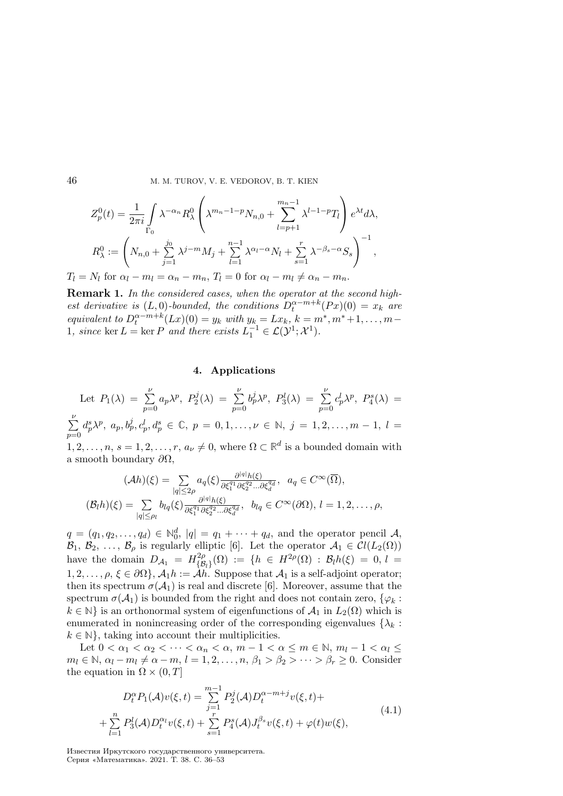$$
Z_p^0(t) = \frac{1}{2\pi i} \int_{\Gamma_0} \lambda^{-\alpha_n} R_\lambda^0 \left( \lambda^{m_n - 1 - p} N_{n,0} + \sum_{l=p+1}^{m_n - 1} \lambda^{l-1 - p} T_l \right) e^{\lambda t} d\lambda,
$$
  

$$
R_\lambda^0 := \left( N_{n,0} + \sum_{j=1}^{j_0} \lambda^{j-m} M_j + \sum_{l=1}^{n-1} \lambda^{\alpha_l - \alpha} N_l + \sum_{s=1}^r \lambda^{-\beta_s - \alpha} S_s \right)^{-1},
$$

 $T_l = N_l$  for  $\alpha_l - m_l = \alpha_n - m_n$ ,  $T_l = 0$  for  $\alpha_l - m_l \neq \alpha_n - m_n$ .

Remark 1. In the considered cases, when the operator at the second highest derivative is  $(L, 0)$ -bounded, the conditions  $D_t^{\alpha-m+k}(Px)(0) = x_k$  are equivalent to  $D_t^{\alpha-m+k}(Lx)(0) = y_k$  with  $y_k = Lx_k$ ,  $k = m^*, m^* + 1, ..., m -$ 1, since ker  $L = \ker P$  and there exists  $L_1^{-1} \in \mathcal{L}(\mathcal{Y}^1; \mathcal{X}^1)$ .

# 4. Applications

Let 
$$
P_1(\lambda) = \sum_{p=0}^{\nu} a_p \lambda^p
$$
,  $P_2^j(\lambda) = \sum_{p=0}^{\nu} b_p^j \lambda^p$ ,  $P_3^l(\lambda) = \sum_{p=0}^{\nu} c_p^l \lambda^p$ ,  $P_4^s(\lambda) = \sum_{p=0}^{\nu} d_p^s \lambda^p$ ,  $a_p, b_p^j, c_p^l, d_p^s \in \mathbb{C}$ ,  $p = 0, 1, ..., \nu \in \mathbb{N}$ ,  $j = 1, 2, ..., m - 1$ ,  $l = 1, 2, ..., n$ ,  $s = 1, 2, ..., r$ ,  $a_{\nu} \neq 0$ , where  $\Omega \subset \mathbb{R}^d$  is a bounded domain with a smooth boundary  $\partial\Omega$ ,

$$
(\mathcal{A}h)(\xi) = \sum_{|q| \le 2\rho} a_q(\xi) \frac{\partial^{|q|} h(\xi)}{\partial \xi_1^{q_1} \partial \xi_2^{q_2} \dots \partial \xi_d^{q_d}}, \ \ a_q \in C^{\infty}(\overline{\Omega}),
$$

$$
(\mathcal{B}_l h)(\xi) = \sum_{|q| \le \rho_l} b_{lq}(\xi) \frac{\partial^{|q|} h(\xi)}{\partial \xi_1^{q_1} \partial \xi_2^{q_2} \dots \partial \xi_d^{q_d}}, \ \ b_{lq} \in C^{\infty}(\partial \Omega), \ l = 1, 2, \dots, \rho,
$$

 $q = (q_1, q_2, \ldots, q_d) \in \mathbb{N}_0^d$ ,  $|q| = q_1 + \cdots + q_d$ , and the operator pencil A,  $\mathcal{B}_1, \mathcal{B}_2, \ldots, \mathcal{B}_\rho$  is regularly elliptic [6]. Let the operator  $\mathcal{A}_1 \in \mathcal{C}l(L_2(\Omega))$ have the domain  $D_{\mathcal{A}_1} = H_{\mathcal{B}_1}^{2\rho}$  $\{A^{2\rho}_{\{B_l\}}(\Omega) \;:=\; \{h\; \in\; H^{2\rho}(\Omega)\;:\; {\cal B}_l h(\xi)\;=\; 0,\, l\;=\; \}$  $1, 2, \ldots, \rho, \xi \in \partial \Omega$ ,  $\mathcal{A}_1 h := \mathcal{A} \hat{h}$ . Suppose that  $\mathcal{A}_1$  is a self-adjoint operator; then its spectrum  $\sigma(\mathcal{A}_1)$  is real and discrete [6]. Moreover, assume that the spectrum  $\sigma(\mathcal{A}_1)$  is bounded from the right and does not contain zero,  $\{\varphi_k:$  $k \in \mathbb{N}$  is an orthonormal system of eigenfunctions of  $\mathcal{A}_1$  in  $L_2(\Omega)$  which is enumerated in nonincreasing order of the corresponding eigenvalues  $\{\lambda_k:$  $k \in \mathbb{N}$ , taking into account their multiplicities.

Let  $0 < \alpha_1 < \alpha_2 < \cdots < \alpha_n < \alpha$ ,  $m-1 < \alpha \le m \in \mathbb{N}$ ,  $m_l - 1 < \alpha_l \le$  $m_l \in \mathbb{N}, \, \alpha_l - m_l \neq \alpha - m, \, l = 1, 2, \ldots, n, \, \beta_1 > \beta_2 > \cdots > \beta_r \geq 0.$  Consider the equation in  $\Omega \times (0, T]$ 

$$
D_t^{\alpha} P_1(\mathcal{A}) v(\xi, t) = \sum_{j=1}^{m-1} P_2^j(\mathcal{A}) D_t^{\alpha - m + j} v(\xi, t) +
$$
  
+ 
$$
\sum_{l=1}^n P_3^l(\mathcal{A}) D_t^{\alpha_l} v(\xi, t) + \sum_{s=1}^r P_4^s(\mathcal{A}) J_t^{\beta_s} v(\xi, t) + \varphi(t) w(\xi),
$$
(4.1)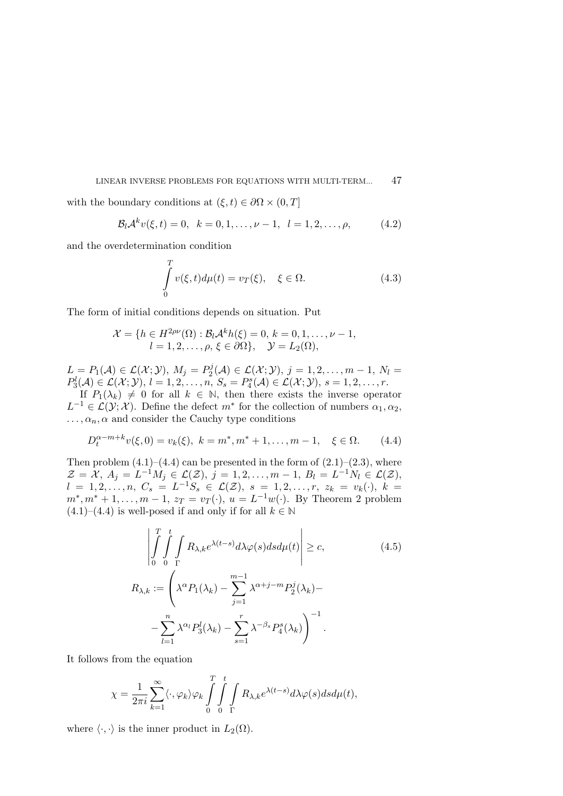with the boundary conditions at  $(\xi, t) \in \partial \Omega \times (0, T]$ 

$$
\mathcal{B}_l \mathcal{A}^k v(\xi, t) = 0, \quad k = 0, 1, \dots, \nu - 1, \quad l = 1, 2, \dots, \rho,
$$
 (4.2)

and the overdetermination condition

$$
\int_{0}^{T} v(\xi, t) d\mu(t) = v_T(\xi), \quad \xi \in \Omega.
$$
\n(4.3)

The form of initial conditions depends on situation. Put

$$
\mathcal{X} = \{ h \in H^{2\rho\nu}(\Omega) : \mathcal{B}_l \mathcal{A}^k h(\xi) = 0, k = 0, 1, \dots, \nu - 1, l = 1, 2, \dots, \rho, \xi \in \partial\Omega \}, \quad \mathcal{Y} = L_2(\Omega),
$$

 $L = P_1(\mathcal{A}) \in \mathcal{L}(\mathcal{X}; \mathcal{Y}), M_j = P_2^j$  $\mathcal{L}^{j}(\mathcal{A})\in\mathcal{L}(\mathcal{X};\mathcal{Y}),\,j=1,2,\ldots,m-1,\,N_l=1$  $P_3^l(\mathcal{A}) \in \mathcal{L}(\mathcal{X}; \mathcal{Y}), l = 1, 2, \ldots, n, S_s = P_4^s(\mathcal{A}) \in \mathcal{L}(\mathcal{X}; \mathcal{Y}), s = 1, 2, \ldots, r.$ 

If  $P_1(\lambda_k) \neq 0$  for all  $k \in \mathbb{N}$ , then there exists the inverse operator  $L^{-1} \in \mathcal{L}(\mathcal{Y}; \mathcal{X})$ . Define the defect  $m^*$  for the collection of numbers  $\alpha_1, \alpha_2$ ,  $\ldots, \alpha_n, \alpha$  and consider the Cauchy type conditions

$$
D_t^{\alpha-m+k}v(\xi,0) = v_k(\xi), \ k = m^*, m^* + 1, \dots, m - 1, \quad \xi \in \Omega. \tag{4.4}
$$

Then problem  $(4.1)$ – $(4.4)$  can be presented in the form of  $(2.1)$ – $(2.3)$ , where  $\mathcal{Z} = \mathcal{X}, A_j = L^{-1}M_j \in \mathcal{L}(\mathcal{Z}), j = 1, 2, ..., m - 1, B_l = L^{-1}N_l \in \mathcal{L}(\mathcal{Z}),$  $l = 1, 2, \ldots, n, \ C_s = L^{-1}S_s \in \mathcal{L}(\mathcal{Z}), \ s = 1, 2, \ldots, r, \ z_k = v_k(\cdot), \ k = 1$  $m^*, m^* + 1, \ldots, m - 1, z_T = v_T(\cdot), u = L^{-1}w(\cdot)$ . By Theorem 2 problem  $(4.1)$ – $(4.4)$  is well-posed if and only if for all  $k \in \mathbb{N}$ 

$$
\left| \int_{0}^{T} \int_{0}^{t} \int_{\Gamma} R_{\lambda,k} e^{\lambda(t-s)} d\lambda \varphi(s) ds d\mu(t) \right| \geq c,
$$
\n
$$
R_{\lambda,k} := \left( \lambda^{\alpha} P_1(\lambda_k) - \sum_{j=1}^{m-1} \lambda^{\alpha+j-m} P_2^j(\lambda_k) - \right.
$$
\n
$$
- \sum_{l=1}^{n} \lambda^{\alpha_l} P_3^l(\lambda_k) - \sum_{s=1}^{r} \lambda^{-\beta_s} P_4^s(\lambda_k) \right)^{-1}.
$$
\n(4.5)

It follows from the equation

$$
\chi = \frac{1}{2\pi i} \sum_{k=1}^{\infty} \langle \cdot, \varphi_k \rangle \varphi_k \int_{0}^{T} \int_{0}^{t} \int_{\Gamma} R_{\lambda,k} e^{\lambda(t-s)} d\lambda \varphi(s) ds d\mu(t),
$$

where  $\langle \cdot, \cdot \rangle$  is the inner product in  $L_2(\Omega)$ .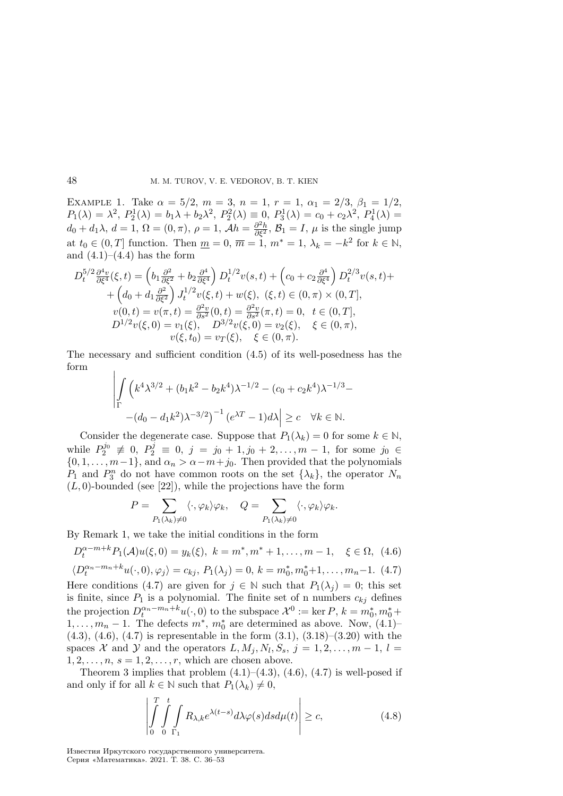EXAMPLE 1. Take  $\alpha = 5/2$ ,  $m = 3$ ,  $n = 1$ ,  $r = 1$ ,  $\alpha_1 = 2/3$ ,  $\beta_1 = 1/2$ ,  $P_1(\lambda) = \lambda^2$ ,  $P_2^1(\lambda) = b_1\lambda + b_2\lambda^2$ ,  $P_2^2(\lambda) \equiv 0$ ,  $P_3^1(\lambda) = c_0 + c_2\lambda^2$ ,  $P_4^1(\lambda) =$  $d_0 + d_1 \lambda, d = 1, \Omega = (0, \pi), \rho = 1, \mathcal{A}h = \frac{\partial^2 h}{\partial \xi^2}, \mathcal{B}_1 = I, \mu$  is the single jump at  $t_0 \in (0, T]$  function. Then  $\underline{m} = 0$ ,  $\overline{m} = 1$ ,  $m^* = 1$ ,  $\lambda_k = -k^2$  for  $k \in \mathbb{N}$ , and  $(4.1)–(4.4)$  has the form

$$
D_t^{5/2} \frac{\partial^4 v}{\partial \xi^4}(\xi, t) = \left(b_1 \frac{\partial^2}{\partial \xi^2} + b_2 \frac{\partial^4}{\partial \xi^4}\right) D_t^{1/2} v(s, t) + \left(c_0 + c_2 \frac{\partial^4}{\partial \xi^4}\right) D_t^{2/3} v(s, t) ++ \left(d_0 + d_1 \frac{\partial^2}{\partial \xi^2}\right) J_t^{1/2} v(\xi, t) + w(\xi), \ (\xi, t) \in (0, \pi) \times (0, T],
$$
  

$$
v(0, t) = v(\pi, t) = \frac{\partial^2 v}{\partial s^2}(0, t) = \frac{\partial^2 v}{\partial s^2}(\pi, t) = 0, \ t \in (0, T],
$$
  

$$
D^{1/2} v(\xi, 0) = v_1(\xi), \quad D^{3/2} v(\xi, 0) = v_2(\xi), \quad \xi \in (0, \pi),
$$
  

$$
v(\xi, t_0) = v_T(\xi), \quad \xi \in (0, \pi).
$$

The necessary and sufficient condition (4.5) of its well-posedness has the form  $\overline{\phantom{a}}$ 

$$
\left| \int_{\Gamma} \left( k^4 \lambda^{3/2} + (b_1 k^2 - b_2 k^4) \lambda^{-1/2} - (c_0 + c_2 k^4) \lambda^{-1/3} - (d_0 - d_1 k^2) \lambda^{-3/2} \right)^{-1} (e^{\lambda T} - 1) d\lambda \right| \ge c \quad \forall k \in \mathbb{N}.
$$

Consider the degenerate case. Suppose that  $P_1(\lambda_k) = 0$  for some  $k \in \mathbb{N}$ , while  $P_2^{j_0} \neq 0$ ,  $P_2^j \equiv 0$ ,  $j = j_0 + 1, j_0 + 2, ..., m - 1$ , for some  $j_0 \in$  $\{0, 1, \ldots, m-1\}$ , and  $\alpha_n > \alpha - m + j_0$ . Then provided that the polynomials  $P_1$  and  $P_3^n$  do not have common roots on the set  $\{\lambda_k\}$ , the operator  $N_n$  $(L, 0)$ -bounded (see [22]), while the projections have the form

$$
P = \sum_{P_1(\lambda_k)\neq 0} \langle \cdot, \varphi_k \rangle \varphi_k, \quad Q = \sum_{P_1(\lambda_k)\neq 0} \langle \cdot, \varphi_k \rangle \varphi_k.
$$

By Remark 1, we take the initial conditions in the form

$$
D_t^{\alpha-m+k} P_1(\mathcal{A}) u(\xi,0) = y_k(\xi), \ k = m^*, m^* + 1, \dots, m - 1, \quad \xi \in \Omega, \ (4.6)
$$

$$
\langle D_t^{\alpha_n-m_n+k} u(\cdot,0), \varphi_j \rangle = c_{kj}, P_1(\lambda_j) = 0, k = m_0^*, m_0^*+1, \dots, m_n-1.
$$
 (4.7)

Here conditions (4.7) are given for  $j \in \mathbb{N}$  such that  $P_1(\lambda_j) = 0$ ; this set is finite, since  $P_1$  is a polynomial. The finite set of n numbers  $c_{kj}$  defines the projection  $D_t^{\alpha_n-m_n+k}u(\cdot,0)$  to the subspace  $\mathcal{X}^0 := \text{ker } P, k = m_0^*, m_0^* +$  $1, \ldots, m_n - 1$ . The defects  $m^*$ ,  $m_0^*$  are determined as above. Now,  $(4.1)$ - $(4.3), (4.6), (4.7)$  is representable in the form  $(3.1), (3.18)$ – $(3.20)$  with the spaces X and Y and the operators  $L, M_j, N_l, S_s, j = 1, 2, \ldots, m - 1, l =$  $1, 2, \ldots, n, s = 1, 2, \ldots, r$ , which are chosen above.

Theorem 3 implies that problem  $(4.1)$ – $(4.3)$ ,  $(4.6)$ ,  $(4.7)$  is well-posed if and only if for all  $k \in \mathbb{N}$  such that  $P_1(\lambda_k) \neq 0$ ,

$$
\left| \int_{0}^{T} \int_{0}^{t} \int_{\Gamma_1} R_{\lambda,k} e^{\lambda(t-s)} d\lambda \varphi(s) ds d\mu(t) \right| \ge c,
$$
\n(4.8)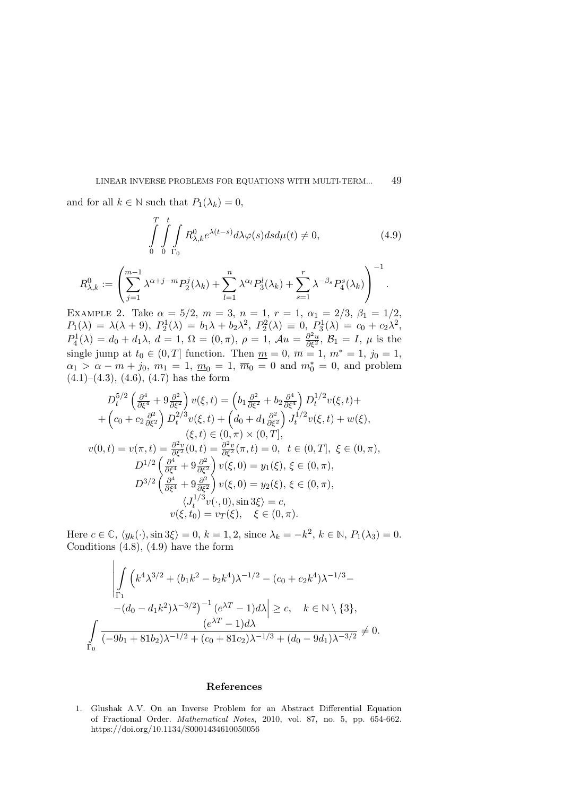and for all  $k \in \mathbb{N}$  such that  $P_1(\lambda_k) = 0$ ,

$$
\int_{0}^{T} \int_{0}^{t} \int_{\Gamma_{0}} R_{\lambda,k}^{0} e^{\lambda(t-s)} d\lambda \varphi(s) ds d\mu(t) \neq 0,
$$
\n(4.9)

.

$$
R_{\lambda,k}^0 := \left(\sum_{j=1}^{m-1} \lambda^{\alpha+j-m} P_2^j(\lambda_k) + \sum_{l=1}^n \lambda^{\alpha_l} P_3^l(\lambda_k) + \sum_{s=1}^r \lambda^{-\beta_s} P_4^s(\lambda_k)\right)^{-1}
$$

EXAMPLE 2. Take  $\alpha = 5/2$ ,  $m = 3$ ,  $n = 1$ ,  $r = 1$ ,  $\alpha_1 = 2/3$ ,  $\beta_1 = 1/2$ ,  $P_1(\lambda) = \lambda(\lambda + 9), P_2^1(\lambda) = b_1\lambda + b_2\lambda^2, P_2^2(\lambda) \equiv 0, P_3^1(\lambda) = c_0 + c_2\lambda^2,$  $P_4^1(\lambda) = d_0 + d_1\lambda, d = 1, \Omega = (0, \pi), \rho = 1, \mathcal{A}u = \frac{\partial^2 u}{\partial \xi^2}, \mathcal{B}_1 = I, \mu$  is the single jump at  $t_0 \in (0, T]$  function. Then  $m = 0$ ,  $\overline{m} = 1$ ,  $m^* = 1$ ,  $j_0 = 1$ ,  $\alpha_1 > \alpha - m + j_0, m_1 = 1, \underline{m}_0 = 1, \overline{m}_0 = 0$  and  $m_0^* = 0$ , and problem  $(4.1)$ – $(4.3)$ ,  $(4.6)$ ,  $(4.7)$  has the form

$$
D_t^{5/2} \left( \frac{\partial^4}{\partial \xi^4} + 9 \frac{\partial^2}{\partial \xi^2} \right) v(\xi, t) = \left( b_1 \frac{\partial^2}{\partial \xi^2} + b_2 \frac{\partial^4}{\partial \xi^4} \right) D_t^{1/2} v(\xi, t) +
$$
  
+  $\left( c_0 + c_2 \frac{\partial^2}{\partial \xi^2} \right) D_t^{2/3} v(\xi, t) + \left( d_0 + d_1 \frac{\partial^2}{\partial \xi^2} \right) J_t^{1/2} v(\xi, t) + w(\xi),$   
 $(\xi, t) \in (0, \pi) \times (0, T],$   
 $v(0, t) = v(\pi, t) = \frac{\partial^2 v}{\partial \xi^2} (0, t) = \frac{\partial^2 v}{\partial \xi^2} (\pi, t) = 0, t \in (0, T], \xi \in (0, \pi),$   
 $D^{1/2} \left( \frac{\partial^4}{\partial \xi^4} + 9 \frac{\partial^2}{\partial \xi^2} \right) v(\xi, 0) = y_1(\xi), \xi \in (0, \pi),$   
 $D^{3/2} \left( \frac{\partial^4}{\partial \xi^4} + 9 \frac{\partial^2}{\partial \xi^2} \right) v(\xi, 0) = y_2(\xi), \xi \in (0, \pi),$   
 $\langle J_t^{1/3} v(\cdot, 0), \sin 3\xi \rangle = c,$   
 $v(\xi, t_0) = v_T(\xi), \xi \in (0, \pi).$ 

Here  $c \in \mathbb{C}$ ,  $\langle y_k(\cdot), \sin 3\xi \rangle = 0$ ,  $k = 1, 2$ , since  $\lambda_k = -k^2$ ,  $k \in \mathbb{N}$ ,  $P_1(\lambda_3) = 0$ . Conditions  $(4.8)$ ,  $(4.9)$  have the form

$$
\left| \int_{\Gamma_1} \left( k^4 \lambda^{3/2} + (b_1 k^2 - b_2 k^4) \lambda^{-1/2} - (c_0 + c_2 k^4) \lambda^{-1/3} - (d_0 - d_1 k^2) \lambda^{-3/2} \right)^{-1} (e^{\lambda T} - 1) d\lambda \right| \ge c, \quad k \in \mathbb{N} \setminus \{3\},
$$
  

$$
\int_{\Gamma_0} \frac{(e^{\lambda T} - 1) d\lambda}{(-9b_1 + 81b_2)\lambda^{-1/2} + (c_0 + 81c_2)\lambda^{-1/3} + (d_0 - 9d_1)\lambda^{-3/2}} \neq 0.
$$

#### References

1. Glushak A.V. On an Inverse Problem for an Abstract Differential Equation of Fractional Order. Mathematical Notes, 2010, vol. 87, no. 5, pp. 654-662. https://doi.org/10.1134/S0001434610050056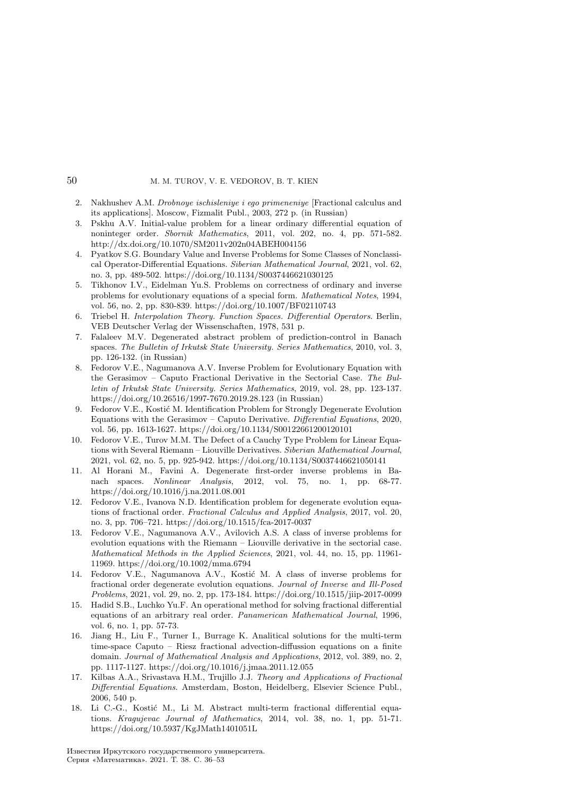- 2. Nakhushev A.M. Drobnoye ischisleniye i ego primeneniye [Fractional calculus and its applications]. Moscow, Fizmalit Publ., 2003, 272 p. (in Russian)
- 3. Pskhu A.V. Initial-value problem for a linear ordinary differential equation of noninteger order. Sbornik Mathematics, 2011, vol. 202, no. 4, pp. 571-582. http://dx.doi.org/10.1070/SM2011v202n04ABEH004156
- 4. Pyatkov S.G. Boundary Value and Inverse Problems for Some Classes of Nonclassical Operator-Differential Equations. Siberian Mathematical Journal, 2021, vol. 62, no. 3, pp. 489-502. https://doi.org/10.1134/S0037446621030125
- 5. Tikhonov I.V., Eidelman Yu.S. Problems on correctness of ordinary and inverse problems for evolutionary equations of a special form. Mathematical Notes, 1994, vol. 56, no. 2, pp. 830-839. https://doi.org/10.1007/BF02110743
- 6. Triebel H. Interpolation Theory. Function Spaces. Differential Operators. Berlin, VEB Deutscher Verlag der Wissenschaften, 1978, 531 p.
- 7. Falaleev M.V. Degenerated abstract problem of prediction-control in Banach spaces. The Bulletin of Irkutsk State University. Series Mathematics, 2010, vol. 3, pp. 126-132. (in Russian)
- 8. Fedorov V.E., Nagumanova A.V. Inverse Problem for Evolutionary Equation with the Gerasimov – Caputo Fractional Derivative in the Sectorial Case. The Bulletin of Irkutsk State University. Series Mathematics, 2019, vol. 28, pp. 123-137. https://doi.org/10.26516/1997-7670.2019.28.123 (in Russian)
- 9. Fedorov V.E., Kostić M. Identification Problem for Strongly Degenerate Evolution Equations with the Gerasimov – Caputo Derivative. Differential Equations, 2020, vol. 56, pp. 1613-1627. https://doi.org/10.1134/S00122661200120101
- 10. Fedorov V.E., Turov M.M. The Defect of a Cauchy Type Problem for Linear Equations with Several Riemann – Liouville Derivatives. Siberian Mathematical Journal, 2021, vol. 62, no. 5, pp. 925-942. https://doi.org/10.1134/S0037446621050141
- 11. Al Horani M., Favini A. Degenerate first-order inverse problems in Banach spaces. Nonlinear Analysis, 2012, vol. 75, no. 1, pp. 68-77. https://doi.org/10.1016/j.na.2011.08.001
- 12. Fedorov V.E., Ivanova N.D. Identification problem for degenerate evolution equations of fractional order. Fractional Calculus and Applied Analysis, 2017, vol. 20, no. 3, pp. 706–721. https://doi.org/10.1515/fca-2017-0037
- 13. Fedorov V.E., Nagumanova A.V., Avilovich A.S. A class of inverse problems for evolution equations with the Riemann – Liouville derivative in the sectorial case. Mathematical Methods in the Applied Sciences, 2021, vol. 44, no. 15, pp. 11961- 11969. https://doi.org/10.1002/mma.6794
- 14. Fedorov V.E., Nagumanova A.V., Kostić M. A class of inverse problems for fractional order degenerate evolution equations. Journal of Inverse and Ill-Posed Problems, 2021, vol. 29, no. 2, pp. 173-184. https://doi.org/10.1515/jiip-2017-0099
- 15. Hadid S.B., Luchko Yu.F. An operational method for solving fractional differential equations of an arbitrary real order. Panamerican Mathematical Journal, 1996, vol. 6, no. 1, pp. 57-73.
- 16. Jiang H., Liu F., Turner I., Burrage K. Analitical solutions for the multi-term time-space Caputo – Riesz fractional advection-diffussion equations on a finite domain. Journal of Mathematical Analysis and Applications, 2012, vol. 389, no. 2, pp. 1117-1127. https://doi.org/10.1016/j.jmaa.2011.12.055
- 17. Kilbas A.A., Srivastava H.M., Trujillo J.J. Theory and Applications of Fractional Differential Equations. Amsterdam, Boston, Heidelberg, Elsevier Science Publ., 2006, 540 p.
- 18. Li C.-G., Kostić M., Li M. Abstract multi-term fractional differential equations. Kragujevac Journal of Mathematics, 2014, vol. 38, no. 1, pp. 51-71. https://doi.org/10.5937/KgJMath1401051L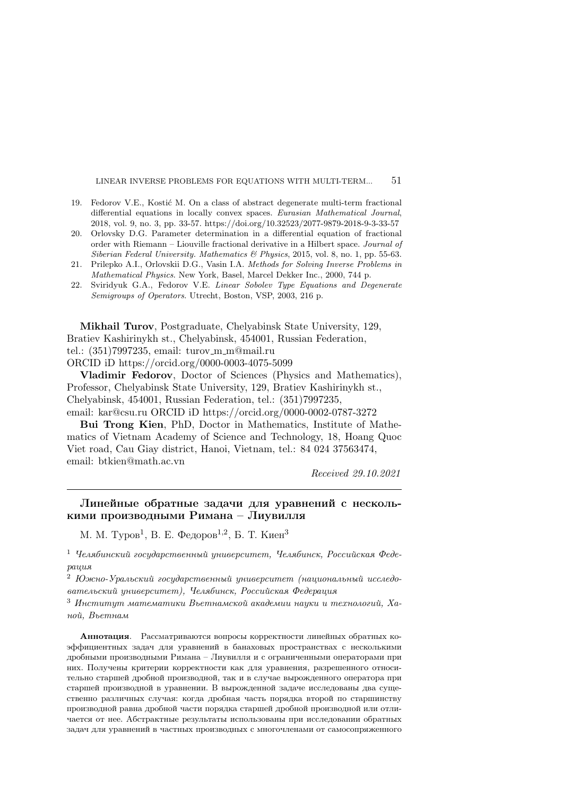- 19. Fedorov V.E., Kostić M. On a class of abstract degenerate multi-term fractional differential equations in locally convex spaces. Eurasian Mathematical Journal, 2018, vol. 9, no. 3, pp. 33-57. https://doi.org/10.32523/2077-9879-2018-9-3-33-57
- 20. Orlovsky D.G. Parameter determination in a differential equation of fractional order with Riemann – Liouville fractional derivative in a Hilbert space. Journal of Siberian Federal University. Mathematics & Physics, 2015, vol. 8, no. 1, pp. 55-63.
- 21. Prilepko A.I., Orlovskii D.G., Vasin I.A. Methods for Solving Inverse Problems in Mathematical Physics. New York, Basel, Marcel Dekker Inc., 2000, 744 p.
- 22. Sviridyuk G.A., Fedorov V.E. Linear Sobolev Type Equations and Degenerate Semigroups of Operators. Utrecht, Boston, VSP, 2003, 216 p.

Mikhail Turov, Postgraduate, Chelyabinsk State University, 129, Bratiev Kashirinykh st., Chelyabinsk, 454001, Russian Federation, tel.: (351)7997235, email: turov m m@mail.ru ORCID iD https://orcid.org/0000-0003-4075-5099

Vladimir Fedorov, Doctor of Sciences (Physics and Mathematics), Professor, Chelyabinsk State University, 129, Bratiev Kashirinykh st., Chelyabinsk, 454001, Russian Federation, tel.: (351)7997235, email: kar@csu.ru ORCID iD https://orcid.org/0000-0002-0787-3272

Bui Trong Kien, PhD, Doctor in Mathematics, Institute of Mathematics of Vietnam Academy of Science and Technology, 18, Hoang Quoc Viet road, Cau Giay district, Hanoi, Vietnam, tel.: 84 024 37563474, email: btkien@math.ac.vn

Received 29.10.2021

# Линейные обратные задачи для уравнений с несколькими производными Римана – Лиувилля

М. М. Туров<sup>1</sup>, В. Е. Федоров<sup>1,2</sup>, Б. Т. Киен<sup>3</sup>

 $1$  Челябинский государственный университет, Челябинск, Российская Федерация

<sup>2</sup> Южно-Уральский государственный университет (национальный исследовательский университет), Челябинск, Российская Федерация

<sup>3</sup> Институт математики Вьетнамской академии науки и технологий, Ханой, Вьетнам

Аннотация. Рассматриваются вопросы корректности линейных обратных коэффициентных задач для уравнений в банаховых пространствах с несколькими дробными производными Римана – Лиувилля и с ограниченными операторами при них. Получены критерии корректности как для уравнения, разрешенного относительно старшей дробной производной, так и в случае вырожденного оператора при старшей производной в уравнении. В вырожденной задаче исследованы два существенно различных случая: когда дробная часть порядка второй по старшинству производной равна дробной части порядка старшей дробной производной или отличается от нее. Абстрактные результаты использованы при исследовании обратных задач для уравнений в частных производных с многочленами от самосопряженного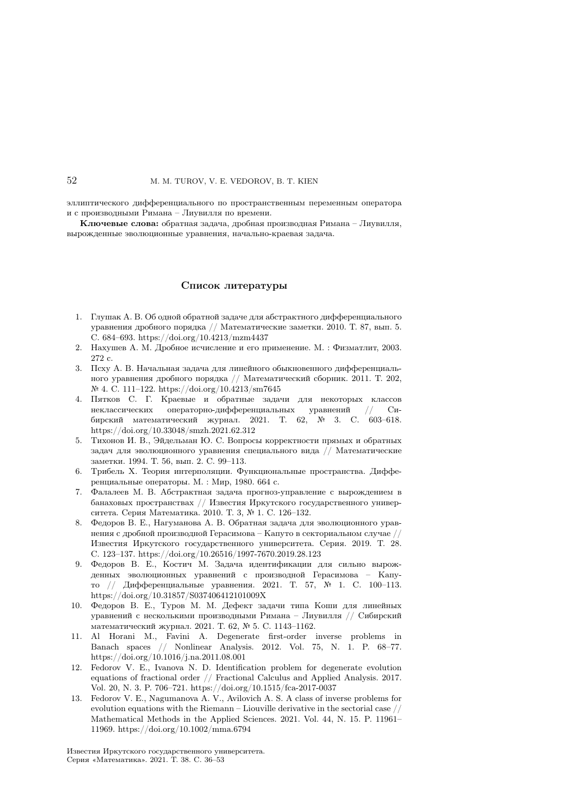эллиптического дифференциального по пространственным переменным оператора и с производными Римана – Лиувилля по времени.

Ключевые слова: обратная задача, дробная производная Римана – Лиувилля, вырожденные эволюционные уравнения, начально-краевая задача.

### Список литературы

- 1. Глушак А. В. Об одной обратной задаче для абстрактного дифференциального уравнения дробного порядка // Математические заметки. 2010. Т. 87, вып. 5. С. 684–693. https://doi.org/10.4213/mzm4437
- 2. Нахушев А. М. Дробное исчисление и его применение. M. : Физматлит, 2003. 272 с.
- 3. Псху А. В. Начальная задача для линейного обыкновенного дифференциального уравнения дробного порядка // Математический сборник. 2011. Т. 202, № 4. C. 111–122. https://doi.org/10.4213/sm7645
- 4. Пятков С. Г. Краевые и обратные задачи для некоторых классов неклассических операторно-дифференциальных уравнений // Сибирский математический журнал. 2021. Т. 62, № 3. C. 603–618. https://doi.org/10.33048/smzh.2021.62.312
- 5. Тихонов И. В., Эйдельман Ю. С. Вопросы корректности прямых и обратных задач для эволюционного уравнения специального вида // Математические заметки. 1994. Т. 56, вып. 2. С. 99–113.
- 6. Трибель Х. Теория интерполяции. Функциональные пространства. Дифференциальные операторы. М. : Мир, 1980. 664 с.
- 7. Фалалеев М. В. Абстрактная задача прогноз-управление с вырождением в банаховых пространствах // Известия Иркутского государственного университета. Серия Математика. 2010. Т. 3, № 1. C. 126–132.
- 8. Федоров В. Е., Нагуманова А. В. Обратная задача для эволюционного уравнения с дробной производной Герасимова – Капуто в секториальном случае // Известия Иркутского государственного университета. Серия. 2019. Т. 28. C. 123–137. https://doi.org/10.26516/1997-7670.2019.28.123
- 9. Федоров В. Е., Костич М. Задача идентификации для сильно вырожденных эволюционных уравнений с производной Герасимова – Капуто // Дифференциальные уравнения. 2021. Т. 57, № 1. С. 100–113. https://doi.org/10.31857/S037406412101009X
- 10. Федоров В. Е., Туров М. М. Дефект задачи типа Коши для линейных уравнений с несколькими производными Римана – Лиувилля // Сибирский математический журнал. 2021. Т. 62, № 5. С. 1143–1162.
- 11. Al Horani M., Favini A. Degenerate first-order inverse problems in Banach spaces // Nonlinear Analysis. 2012. Vol. 75, N. 1. P. 68–77. https://doi.org/10.1016/j.na.2011.08.001
- 12. Fedorov V. E., Ivanova N. D. Identification problem for degenerate evolution equations of fractional order // Fractional Calculus and Applied Analysis. 2017. Vol. 20, N. 3. P. 706–721. https://doi.org/10.1515/fca-2017-0037
- 13. Fedorov V. E., Nagumanova A. V., Avilovich A. S. A class of inverse problems for evolution equations with the Riemann – Liouville derivative in the sectorial case // Mathematical Methods in the Applied Sciences. 2021. Vol. 44, N. 15. P. 11961– 11969. https://doi.org/10.1002/mma.6794